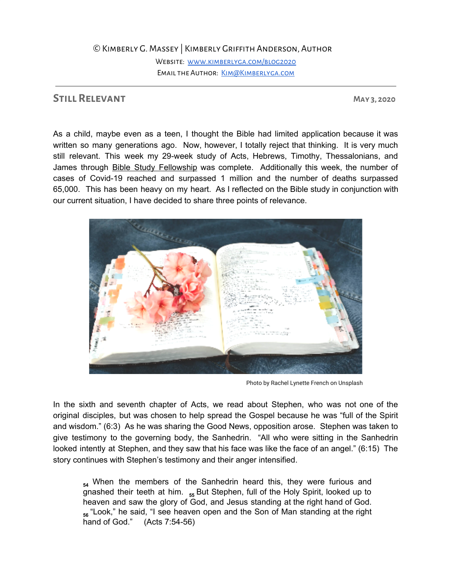## ©Kimberly G. Massey | Kimberly Griffith Anderson, Author

Website: [www.kimberlyga.com/blog2020](http://www.kimberlyga.com/blog2020) EMAIL THE AUTHOR: KIM@KIMBERLYGA.COM

## **Still Relevant May 3, 2020**

As a child, maybe even as a teen, I thought the Bible had limited application because it was written so many generations ago. Now, however, I totally reject that thinking. It is very much still relevant. This week my 29-week study of Acts, Hebrews, Timothy, Thessalonians, and James through Bible Study [Fellowship](https://www.bsfinternational.org/) was complete. Additionally this week, the number of cases of Covid-19 reached and surpassed 1 million and the number of deaths surpassed 65,000. This has been heavy on my heart. As I reflected on the Bible study in conjunction with our current situation, I have decided to share three points of relevance.



Photo by Rachel Lynette French on Unsplash

In the sixth and seventh chapter of Acts, we read about Stephen, who was not one of the original disciples, but was chosen to help spread the Gospel because he was "full of the Spirit and wisdom." (6:3) As he was sharing the Good News, opposition arose. Stephen was taken to give testimony to the governing body, the Sanhedrin. "All who were sitting in the Sanhedrin looked intently at Stephen, and they saw that his face was like the face of an angel." (6:15) The story continues with Stephen's testimony and their anger intensified.

<sub>54</sub> When the members of the Sanhedrin heard this, they were furious and gnashed their teeth at him. **<sup>55</sup>** But Stephen, full of the Holy Spirit, looked up to heaven and saw the glory of God, and Jesus standing at the right hand of God. **56** "Look," he said, "I see heaven open and the Son of Man standing at the right hand of God." (Acts 7:54-56)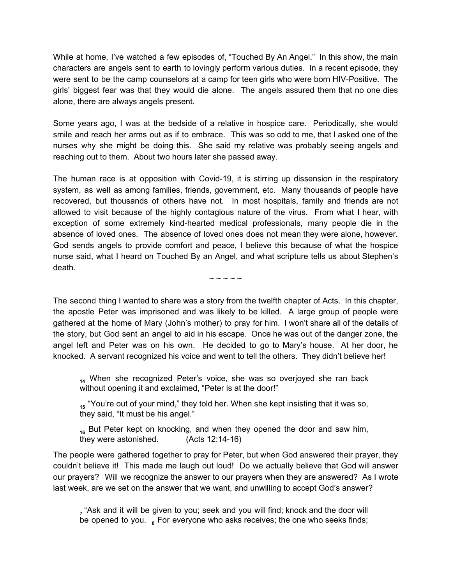While at home, I've watched a few episodes of, "Touched By An Angel." In this show, the main characters are angels sent to earth to lovingly perform various duties. In a recent episode, they were sent to be the camp counselors at a camp for teen girls who were born HIV-Positive. The girls' biggest fear was that they would die alone. The angels assured them that no one dies alone, there are always angels present.

Some years ago, I was at the bedside of a relative in hospice care. Periodically, she would smile and reach her arms out as if to embrace. This was so odd to me, that I asked one of the nurses why she might be doing this. She said my relative was probably seeing angels and reaching out to them. About two hours later she passed away.

The human race is at opposition with Covid-19, it is stirring up dissension in the respiratory system, as well as among families, friends, government, etc. Many thousands of people have recovered, but thousands of others have not. In most hospitals, family and friends are not allowed to visit because of the highly contagious nature of the virus. From what I hear, with exception of some extremely kind-hearted medical professionals, many people die in the absence of loved ones. The absence of loved ones does not mean they were alone, however. God sends angels to provide comfort and peace, I believe this because of what the hospice nurse said, what I heard on Touched By an Angel, and what scripture tells us about Stephen's death.

 $\sim$   $\sim$   $\sim$   $\sim$ 

The second thing I wanted to share was a story from the twelfth chapter of Acts. In this chapter, the apostle Peter was imprisoned and was likely to be killed. A large group of people were gathered at the home of Mary (John's mother) to pray for him. I won't share all of the details of the story, but God sent an angel to aid in his escape. Once he was out of the danger zone, the angel left and Peter was on his own. He decided to go to Mary's house. At her door, he knocked. A servant recognized his voice and went to tell the others. They didn't believe her!

<sub>14</sub> When she recognized Peter's voice, she was so overjoyed she ran back without opening it and exclaimed, "Peter is at the door!"

**15** "You're out of your mind," they told her. When she kept insisting that it was so, they said, "It must be his angel."

<sub>16</sub> But Peter kept on knocking, and when they opened the door and saw him, they were astonished. (Acts 12:14-16) they were astonished.

The people were gathered together to pray for Peter, but when God answered their prayer, they couldn't believe it! This made me laugh out loud! Do we actually believe that God will answer our prayers? Will we recognize the answer to our prayers when they are answered? As I wrote last week, are we set on the answer that we want, and unwilling to accept God's answer?

**7** "Ask and it will be given to you; seek and you will find; knock and the door will be opened to you. **8** For everyone who asks receives; the one who seeks finds;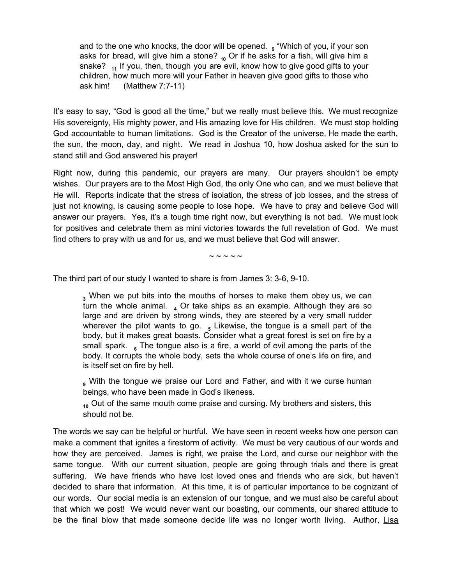and to the one who knocks, the door will be opened. **<sup>9</sup>** "Which of you, if your son asks for bread, will give him a stone? <sub>10</sub> Or if he asks for a fish, will give him a snake? **<sup>11</sup>** If you, then, though you are evil, know how to give good gifts to your children, how much more will your Father in heaven give good gifts to those who ask him! (Matthew 7:7-11)

It's easy to say, "God is good all the time," but we really must believe this. We must recognize His sovereignty, His mighty power, and His amazing love for His children. We must stop holding God accountable to human limitations. God is the Creator of the universe, He made the earth, the sun, the moon, day, and night. We read in Joshua 10, how Joshua asked for the sun to stand still and God answered his prayer!

Right now, during this pandemic, our prayers are many. Our prayers shouldn't be empty wishes. Our prayers are to the Most High God, the only One who can, and we must believe that He will. Reports indicate that the stress of isolation, the stress of job losses, and the stress of just not knowing, is causing some people to lose hope. We have to pray and believe God will answer our prayers. Yes, it's a tough time right now, but everything is not bad. We must look for positives and celebrate them as mini victories towards the full revelation of God. We must find others to pray with us and for us, and we must believe that God will answer.

 $\sim$   $\sim$   $\sim$   $\sim$ 

The third part of our study I wanted to share is from James 3: 3-6, 9-10.

**<sup>3</sup>** When we put bits into the mouths of horses to make them obey us, we can turn the whole animal.  $_4$  Or take ships as an example. Although they are so large and are driven by strong winds, they are steered by a very small rudder wherever the pilot wants to go.  $\frac{1}{5}$  Likewise, the tongue is a small part of the body, but it makes great boasts. Consider what a great forest is set on fire by a small spark. **6** The tongue also is a fire, a world of evil among the parts of the body. It corrupts the whole body, sets the whole course of one's life on fire, and is itself set on fire by hell.

**<sup>9</sup>** With the tongue we praise our Lord and Father, and with it we curse human beings, who have been made in God's likeness.

<sub>10</sub> Out of the same mouth come praise and cursing. My brothers and sisters, this should not be.

The words we say can be helpful or hurtful. We have seen in recent weeks how one person can make a comment that ignites a firestorm of activity. We must be very cautious of our words and how they are perceived. James is right, we praise the Lord, and curse our neighbor with the same tongue. With our current situation, people are going through trials and there is great suffering. We have friends who have lost loved ones and friends who are sick, but haven't decided to share that information. At this time, it is of particular importance to be cognizant of our words. Our social media is an extension of our tongue, and we must also be careful about that which we post! We would never want our boasting, our comments, our shared attitude to be the final blow that made someone decide life was no longer worth living. Author, [Lisa](https://lysaterkeurst.com/2010/09/kind-true-necessary/)